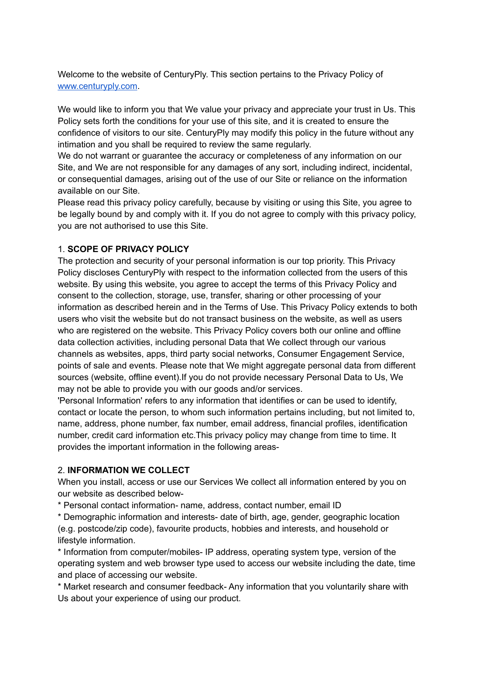Welcome to the website of CenturyPly. This section pertains to the Privacy Policy of [www.centuryply.com](http://www.century.com).

We would like to inform you that We value your privacy and appreciate your trust in Us. This Policy sets forth the conditions for your use of this site, and it is created to ensure the confidence of visitors to our site. CenturyPly may modify this policy in the future without any intimation and you shall be required to review the same regularly.

We do not warrant or guarantee the accuracy or completeness of any information on our Site, and We are not responsible for any damages of any sort, including indirect, incidental, or consequential damages, arising out of the use of our Site or reliance on the information available on our Site.

Please read this privacy policy carefully, because by visiting or using this Site, you agree to be legally bound by and comply with it. If you do not agree to comply with this privacy policy, you are not authorised to use this Site.

#### 1. **SCOPE OF PRIVACY POLICY**

The protection and security of your personal information is our top priority. This Privacy Policy discloses CenturyPly with respect to the information collected from the users of this website. By using this website, you agree to accept the terms of this Privacy Policy and consent to the collection, storage, use, transfer, sharing or other processing of your information as described herein and in the Terms of Use. This Privacy Policy extends to both users who visit the website but do not transact business on the website, as well as users who are registered on the website. This Privacy Policy covers both our online and offline data collection activities, including personal Data that We collect through our various channels as websites, apps, third party social networks, Consumer Engagement Service, points of sale and events. Please note that We might aggregate personal data from different sources (website, offline event).If you do not provide necessary Personal Data to Us, We may not be able to provide you with our goods and/or services.

'Personal Information' refers to any information that identifies or can be used to identify, contact or locate the person, to whom such information pertains including, but not limited to, name, address, phone number, fax number, email address, financial profiles, identification number, credit card information etc.This privacy policy may change from time to time. It provides the important information in the following areas-

#### 2. **INFORMATION WE COLLECT**

When you install, access or use our Services We collect all information entered by you on our website as described below-

\* Personal contact information- name, address, contact number, email ID

\* Demographic information and interests- date of birth, age, gender, geographic location (e.g. postcode/zip code), favourite products, hobbies and interests, and household or lifestyle information.

\* Information from computer/mobiles- IP address, operating system type, version of the operating system and web browser type used to access our website including the date, time and place of accessing our website.

\* Market research and consumer feedback- Any information that you voluntarily share with Us about your experience of using our product.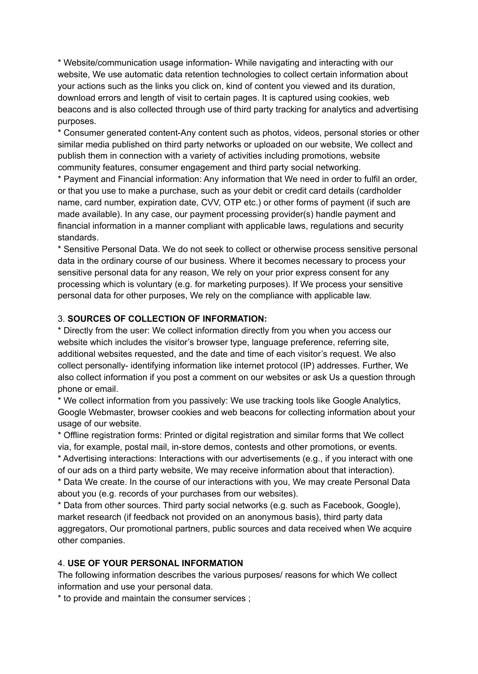\* Website/communication usage information- While navigating and interacting with our website, We use automatic data retention technologies to collect certain information about your actions such as the links you click on, kind of content you viewed and its duration, download errors and length of visit to certain pages. It is captured using cookies, web beacons and is also collected through use of third party tracking for analytics and advertising purposes.

\* Consumer generated content-Any content such as photos, videos, personal stories or other similar media published on third party networks or uploaded on our website, We collect and publish them in connection with a variety of activities including promotions, website community features, consumer engagement and third party social networking.

\* Payment and Financial information: Any information that We need in order to fulfil an order, or that you use to make a purchase, such as your debit or credit card details (cardholder name, card number, expiration date, CVV, OTP etc.) or other forms of payment (if such are made available). In any case, our payment processing provider(s) handle payment and financial information in a manner compliant with applicable laws, regulations and security standards.

\* Sensitive Personal Data. We do not seek to collect or otherwise process sensitive personal data in the ordinary course of our business. Where it becomes necessary to process your sensitive personal data for any reason, We rely on your prior express consent for any processing which is voluntary (e.g. for marketing purposes). If We process your sensitive personal data for other purposes, We rely on the compliance with applicable law.

#### 3. **SOURCES OF COLLECTION OF INFORMATION:**

\* Directly from the user: We collect information directly from you when you access our website which includes the visitor's browser type, language preference, referring site, additional websites requested, and the date and time of each visitor's request. We also collect personally- identifying information like internet protocol (IP) addresses. Further, We also collect information if you post a comment on our websites or ask Us a question through phone or email.

\* We collect information from you passively: We use tracking tools like Google Analytics, Google Webmaster, browser cookies and web beacons for collecting information about your usage of our website.

\* Offline registration forms: Printed or digital registration and similar forms that We collect via, for example, postal mail, in-store demos, contests and other promotions, or events. \* Advertising interactions: Interactions with our advertisements (e.g., if you interact with one of our ads on a third party website, We may receive information about that interaction).

\* Data We create. In the course of our interactions with you, We may create Personal Data about you (e.g. records of your purchases from our websites).

\* Data from other sources. Third party social networks (e.g. such as Facebook, Google), market research (if feedback not provided on an anonymous basis), third party data aggregators, Our promotional partners, public sources and data received when We acquire other companies.

#### 4. **USE OF YOUR PERSONAL INFORMATION**

The following information describes the various purposes/ reasons for which We collect information and use your personal data.

\* to provide and maintain the consumer services ;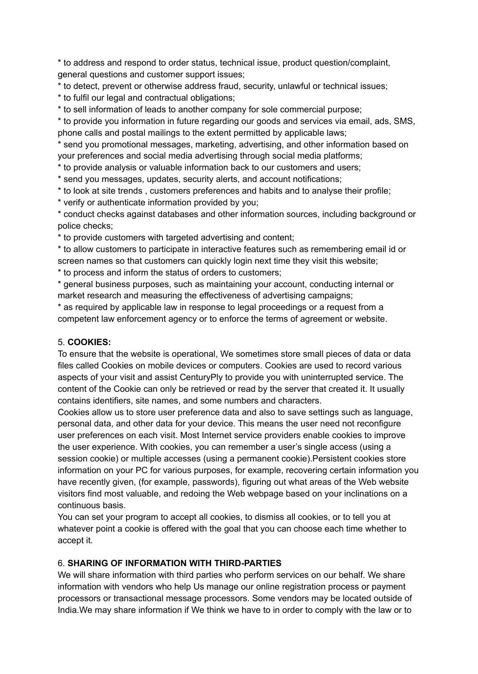\* to address and respond to order status, technical issue, product question/complaint, general questions and customer support issues;

\* to detect, prevent or otherwise address fraud, security, unlawful or technical issues;

\* to fulfil our legal and contractual obligations;

\* to sell information of leads to another company for sole commercial purpose;

\* to provide you information in future regarding our goods and services via email, ads, SMS, phone calls and postal mailings to the extent permitted by applicable laws;

\* send you promotional messages, marketing, advertising, and other information based on your preferences and social media advertising through social media platforms;

\* to provide analysis or valuable information back to our customers and users;

\* send you messages, updates, security alerts, and account notifications;

\* to look at site trends , customers preferences and habits and to analyse their profile;

\* verify or authenticate information provided by you;

\* conduct checks against databases and other information sources, including background or police checks;

\* to provide customers with targeted advertising and content;

\* to allow customers to participate in interactive features such as remembering email id or screen names so that customers can quickly login next time they visit this website;

\* to process and inform the status of orders to customers;

\* general business purposes, such as maintaining your account, conducting internal or market research and measuring the effectiveness of advertising campaigns;

\* as required by applicable law in response to legal proceedings or a request from a competent law enforcement agency or to enforce the terms of agreement or website.

#### 5. **COOKIES:**

To ensure that the website is operational, We sometimes store small pieces of data or data files called Cookies on mobile devices or computers. Cookies are used to record various aspects of your visit and assist CenturyPly to provide you with uninterrupted service. The content of the Cookie can only be retrieved or read by the server that created it. It usually contains identifiers, site names, and some numbers and characters.

Cookies allow us to store user preference data and also to save settings such as language, personal data, and other data for your device. This means the user need not reconfigure user preferences on each visit. Most Internet service providers enable cookies to improve the user experience. With cookies, you can remember a user's single access (using a session cookie) or multiple accesses (using a permanent cookie).Persistent cookies store information on your PC for various purposes, for example, recovering certain information you have recently given, (for example, passwords), figuring out what areas of the Web website visitors find most valuable, and redoing the Web webpage based on your inclinations on a continuous basis.

You can set your program to accept all cookies, to dismiss all cookies, or to tell you at whatever point a cookie is offered with the goal that you can choose each time whether to accept it.

#### 6. **SHARING OF INFORMATION WITH THIRD-PARTIES**

We will share information with third parties who perform services on our behalf. We share information with vendors who help Us manage our online registration process or payment processors or transactional message processors. Some vendors may be located outside of India.We may share information if We think we have to in order to comply with the law or to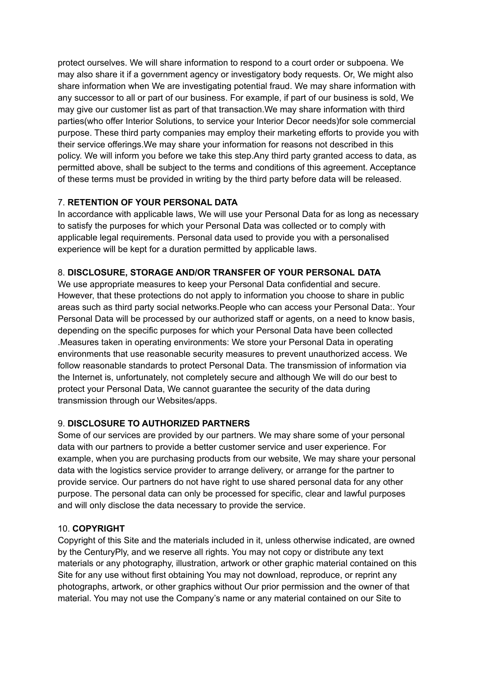protect ourselves. We will share information to respond to a court order or subpoena. We may also share it if a government agency or investigatory body requests. Or, We might also share information when We are investigating potential fraud. We may share information with any successor to all or part of our business. For example, if part of our business is sold, We may give our customer list as part of that transaction.We may share information with third parties(who offer Interior Solutions, to service your Interior Decor needs)for sole commercial purpose. These third party companies may employ their marketing efforts to provide you with their service offerings.We may share your information for reasons not described in this policy. We will inform you before we take this step.Any third party granted access to data, as permitted above, shall be subject to the terms and conditions of this agreement. Acceptance of these terms must be provided in writing by the third party before data will be released.

### 7. **RETENTION OF YOUR PERSONAL DATA**

In accordance with applicable laws, We will use your Personal Data for as long as necessary to satisfy the purposes for which your Personal Data was collected or to comply with applicable legal requirements. Personal data used to provide you with a personalised experience will be kept for a duration permitted by applicable laws.

# 8. **DISCLOSURE, STORAGE AND/OR TRANSFER OF YOUR PERSONAL DATA**

We use appropriate measures to keep your Personal Data confidential and secure. However, that these protections do not apply to information you choose to share in public areas such as third party social networks.People who can access your Personal Data:. Your Personal Data will be processed by our authorized staff or agents, on a need to know basis, depending on the specific purposes for which your Personal Data have been collected .Measures taken in operating environments: We store your Personal Data in operating environments that use reasonable security measures to prevent unauthorized access. We follow reasonable standards to protect Personal Data. The transmission of information via the Internet is, unfortunately, not completely secure and although We will do our best to protect your Personal Data, We cannot guarantee the security of the data during transmission through our Websites/apps.

# 9. **DISCLOSURE TO AUTHORIZED PARTNERS**

Some of our services are provided by our partners. We may share some of your personal data with our partners to provide a better customer service and user experience. For example, when you are purchasing products from our website, We may share your personal data with the logistics service provider to arrange delivery, or arrange for the partner to provide service. Our partners do not have right to use shared personal data for any other purpose. The personal data can only be processed for specific, clear and lawful purposes and will only disclose the data necessary to provide the service.

### 10. **COPYRIGHT**

Copyright of this Site and the materials included in it, unless otherwise indicated, are owned by the CenturyPly, and we reserve all rights. You may not copy or distribute any text materials or any photography, illustration, artwork or other graphic material contained on this Site for any use without first obtaining You may not download, reproduce, or reprint any photographs, artwork, or other graphics without Our prior permission and the owner of that material. You may not use the Company's name or any material contained on our Site to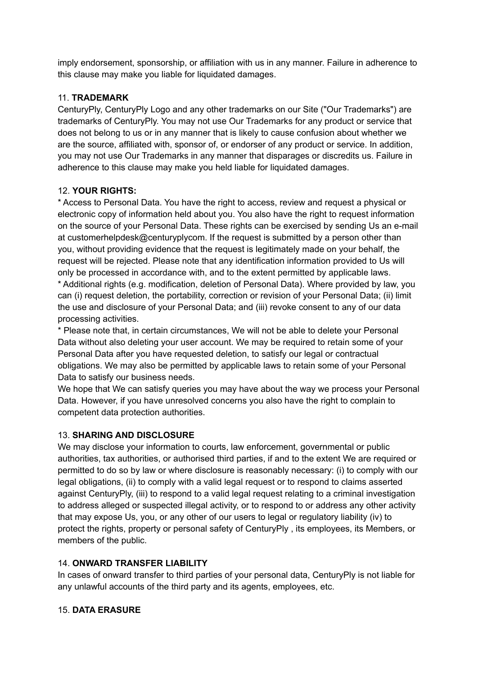imply endorsement, sponsorship, or affiliation with us in any manner. Failure in adherence to this clause may make you liable for liquidated damages.

### 11. **TRADEMARK**

CenturyPly, CenturyPly Logo and any other trademarks on our Site ("Our Trademarks") are trademarks of CenturyPly. You may not use Our Trademarks for any product or service that does not belong to us or in any manner that is likely to cause confusion about whether we are the source, affiliated with, sponsor of, or endorser of any product or service. In addition, you may not use Our Trademarks in any manner that disparages or discredits us. Failure in adherence to this clause may make you held liable for liquidated damages.

### 12. **YOUR RIGHTS:**

\* Access to Personal Data. You have the right to access, review and request a physical or electronic copy of information held about you. You also have the right to request information on the source of your Personal Data. These rights can be exercised by sending Us an e-mail at customerhelpdesk@centuryplycom. If the request is submitted by a person other than you, without providing evidence that the request is legitimately made on your behalf, the request will be rejected. Please note that any identification information provided to Us will only be processed in accordance with, and to the extent permitted by applicable laws. \* Additional rights (e.g. modification, deletion of Personal Data). Where provided by law, you can (i) request deletion, the portability, correction or revision of your Personal Data; (ii) limit the use and disclosure of your Personal Data; and (iii) revoke consent to any of our data processing activities.

\* Please note that, in certain circumstances, We will not be able to delete your Personal Data without also deleting your user account. We may be required to retain some of your Personal Data after you have requested deletion, to satisfy our legal or contractual obligations. We may also be permitted by applicable laws to retain some of your Personal Data to satisfy our business needs.

We hope that We can satisfy queries you may have about the way we process your Personal Data. However, if you have unresolved concerns you also have the right to complain to competent data protection authorities.

#### 13. **SHARING AND DISCLOSURE**

We may disclose your information to courts, law enforcement, governmental or public authorities, tax authorities, or authorised third parties, if and to the extent We are required or permitted to do so by law or where disclosure is reasonably necessary: (i) to comply with our legal obligations, (ii) to comply with a valid legal request or to respond to claims asserted against CenturyPly, (iii) to respond to a valid legal request relating to a criminal investigation to address alleged or suspected illegal activity, or to respond to or address any other activity that may expose Us, you, or any other of our users to legal or regulatory liability (iv) to protect the rights, property or personal safety of CenturyPly , its employees, its Members, or members of the public.

### 14. **ONWARD TRANSFER LIABILITY**

In cases of onward transfer to third parties of your personal data, CenturyPly is not liable for any unlawful accounts of the third party and its agents, employees, etc.

#### 15. **DATA ERASURE**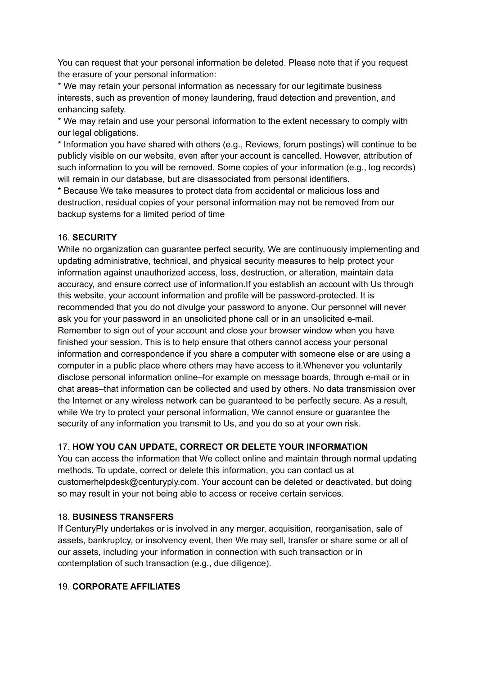You can request that your personal information be deleted. Please note that if you request the erasure of your personal information:

\* We may retain your personal information as necessary for our legitimate business interests, such as prevention of money laundering, fraud detection and prevention, and enhancing safety.

\* We may retain and use your personal information to the extent necessary to comply with our legal obligations.

\* Information you have shared with others (e.g., Reviews, forum postings) will continue to be publicly visible on our website, even after your account is cancelled. However, attribution of such information to you will be removed. Some copies of your information (e.g., log records) will remain in our database, but are disassociated from personal identifiers.

\* Because We take measures to protect data from accidental or malicious loss and destruction, residual copies of your personal information may not be removed from our backup systems for a limited period of time

#### 16. **SECURITY**

While no organization can guarantee perfect security, We are continuously implementing and updating administrative, technical, and physical security measures to help protect your information against unauthorized access, loss, destruction, or alteration, maintain data accuracy, and ensure correct use of information.If you establish an account with Us through this website, your account information and profile will be password-protected. It is recommended that you do not divulge your password to anyone. Our personnel will never ask you for your password in an unsolicited phone call or in an unsolicited e-mail. Remember to sign out of your account and close your browser window when you have finished your session. This is to help ensure that others cannot access your personal information and correspondence if you share a computer with someone else or are using a computer in a public place where others may have access to it.Whenever you voluntarily disclose personal information online–for example on message boards, through e-mail or in chat areas–that information can be collected and used by others. No data transmission over the Internet or any wireless network can be guaranteed to be perfectly secure. As a result, while We try to protect your personal information, We cannot ensure or guarantee the security of any information you transmit to Us, and you do so at your own risk.

### 17. **HOW YOU CAN UPDATE, CORRECT OR DELETE YOUR INFORMATION**

You can access the information that We collect online and maintain through normal updating methods. To update, correct or delete this information, you can contact us at customerhelpdesk@centuryply.com. Your account can be deleted or deactivated, but doing so may result in your not being able to access or receive certain services.

### 18. **BUSINESS TRANSFERS**

If CenturyPly undertakes or is involved in any merger, acquisition, reorganisation, sale of assets, bankruptcy, or insolvency event, then We may sell, transfer or share some or all of our assets, including your information in connection with such transaction or in contemplation of such transaction (e.g., due diligence).

### 19. **CORPORATE AFFILIATES**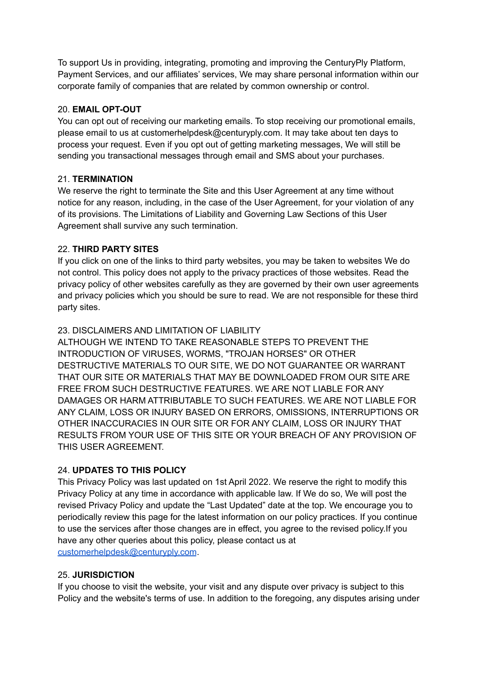To support Us in providing, integrating, promoting and improving the CenturyPly Platform, Payment Services, and our affiliates' services, We may share personal information within our corporate family of companies that are related by common ownership or control.

### 20. **EMAIL OPT-OUT**

You can opt out of receiving our marketing emails. To stop receiving our promotional emails, please email to us at customerhelpdesk@centuryply.com. It may take about ten days to process your request. Even if you opt out of getting marketing messages, We will still be sending you transactional messages through email and SMS about your purchases.

# 21. **TERMINATION**

We reserve the right to terminate the Site and this User Agreement at any time without notice for any reason, including, in the case of the User Agreement, for your violation of any of its provisions. The Limitations of Liability and Governing Law Sections of this User Agreement shall survive any such termination.

# 22. **THIRD PARTY SITES**

If you click on one of the links to third party websites, you may be taken to websites We do not control. This policy does not apply to the privacy practices of those websites. Read the privacy policy of other websites carefully as they are governed by their own user agreements and privacy policies which you should be sure to read. We are not responsible for these third party sites.

# 23. DISCLAIMERS AND LIMITATION OF LIABILITY

ALTHOUGH WE INTEND TO TAKE REASONABLE STEPS TO PREVENT THE INTRODUCTION OF VIRUSES, WORMS, "TROJAN HORSES" OR OTHER DESTRUCTIVE MATERIALS TO OUR SITE, WE DO NOT GUARANTEE OR WARRANT THAT OUR SITE OR MATERIALS THAT MAY BE DOWNLOADED FROM OUR SITE ARE FREE FROM SUCH DESTRUCTIVE FEATURES. WE ARE NOT LIABLE FOR ANY DAMAGES OR HARM ATTRIBUTABLE TO SUCH FEATURES. WE ARE NOT LIABLE FOR ANY CLAIM, LOSS OR INJURY BASED ON ERRORS, OMISSIONS, INTERRUPTIONS OR OTHER INACCURACIES IN OUR SITE OR FOR ANY CLAIM, LOSS OR INJURY THAT RESULTS FROM YOUR USE OF THIS SITE OR YOUR BREACH OF ANY PROVISION OF THIS USER AGREEMENT.

### 24. **UPDATES TO THIS POLICY**

This Privacy Policy was last updated on 1st April 2022. We reserve the right to modify this Privacy Policy at any time in accordance with applicable law. If We do so, We will post the revised Privacy Policy and update the "Last Updated" date at the top. We encourage you to periodically review this page for the latest information on our policy practices. If you continue to use the services after those changes are in effect, you agree to the revised policy.If you have any other queries about this policy, please contact us at [customerhelpdesk@centuryply.com](mailto:customerhelpdesh@centuryply.com).

### 25. **JURISDICTION**

If you choose to visit the website, your visit and any dispute over privacy is subject to this Policy and the website's terms of use. In addition to the foregoing, any disputes arising under